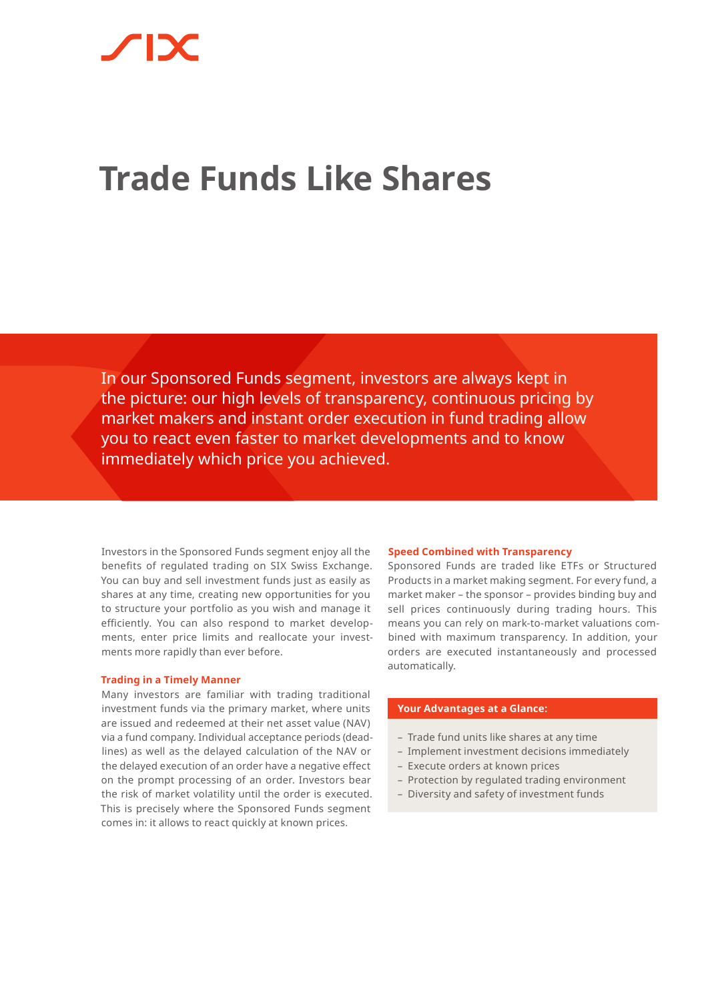# **Trade Funds Like Shares**

In our Sponsored Funds segment, investors are always kept in the picture: our high levels of transparency, continuous pricing by market makers and instant order execution in fund trading allow you to react even faster to market developments and to know immediately which price you achieved.

Investors in the Sponsored Funds segment enjoy all the benefits of regulated trading on SIX Swiss Exchange. You can buy and sell investment funds just as easily as shares at any time, creating new opportunities for you to structure your portfolio as you wish and manage it efficiently. You can also respond to market developments, enter price limits and reallocate your investments more rapidly than ever before.

### **Trading in a Timely Manner**

Many investors are familiar with trading traditional investment funds via the primary market, where units are issued and redeemed at their net asset value (NAV) via a fund company. Individual acceptance periods (deadlines) as well as the delayed calculation of the NAV or the delayed execution of an order have a negative effect on the prompt processing of an order. Investors bear the risk of market volatility until the order is executed. This is precisely where the Sponsored Funds segment comes in: it allows to react quickly at known prices.

#### **Speed Combined with Transparency**

Sponsored Funds are traded like ETFs or Structured Products in a market making segment. For every fund, a market maker – the sponsor – provides binding buy and sell prices continuously during trading hours. This means you can rely on mark-to-market valuations combined with maximum transparency. In addition, your orders are executed instantaneously and processed automatically.

# **Your Advantages at a Glance:**

- Trade fund units like shares at any time
- Implement investment decisions immediately
- Execute orders at known prices
- Protection by regulated trading environment
- Diversity and safety of investment funds